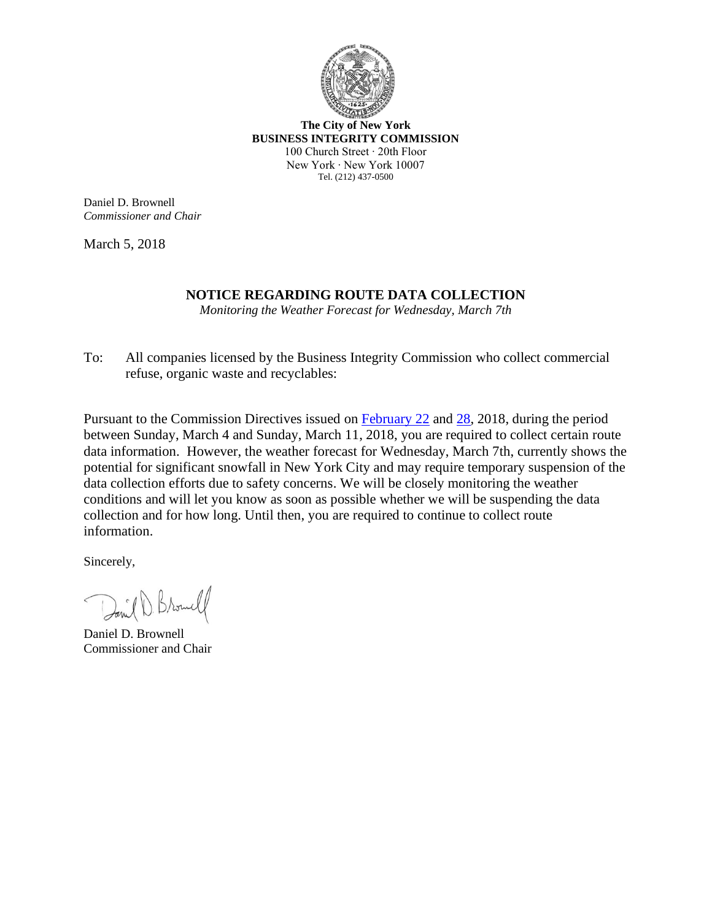

**The City of New York BUSINESS INTEGRITY COMMISSION** 100 Church Street ∙ 20th Floor New York ∙ New York 10007 Tel. (212) 437-0500

Daniel D. Brownell *Commissioner and Chair*

March 5, 2018

## **NOTICE REGARDING ROUTE DATA COLLECTION**

*Monitoring the Weather Forecast for Wednesday, March 7th*

To: All companies licensed by the Business Integrity Commission who collect commercial refuse, organic waste and recyclables:

Pursuant to the Commission Directives issued on [February](http://www1.nyc.gov/assets/bic/downloads/pdf/directives/commission_directive_re%20_route_data_02-22-18_final.pdf) 22 and [28,](http://www1.nyc.gov/assets/bic/downloads/pdf/directives/amended-directive-for-2-28.pdf) 2018, during the period between Sunday, March 4 and Sunday, March 11, 2018, you are required to collect certain route data information. However, the weather forecast for Wednesday, March 7th, currently shows the potential for significant snowfall in New York City and may require temporary suspension of the data collection efforts due to safety concerns. We will be closely monitoring the weather conditions and will let you know as soon as possible whether we will be suspending the data collection and for how long. Until then, you are required to continue to collect route information.

Sincerely,

David D. Browell

Daniel D. Brownell Commissioner and Chair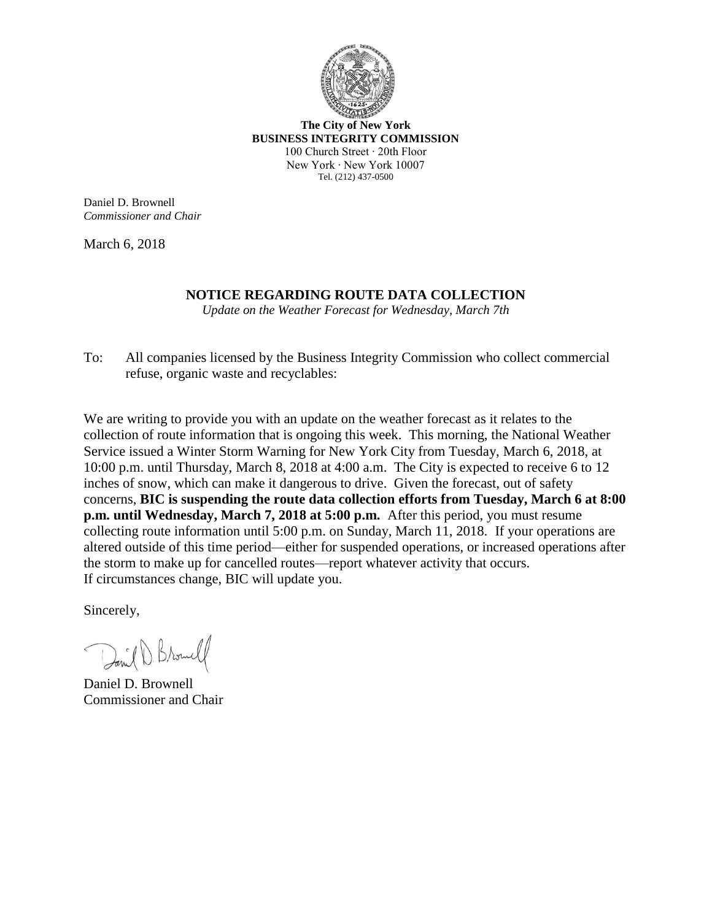

**The City of New York BUSINESS INTEGRITY COMMISSION** 100 Church Street ∙ 20th Floor New York ∙ New York 10007 Tel. (212) 437-0500

Daniel D. Brownell *Commissioner and Chair*

March 6, 2018

## **NOTICE REGARDING ROUTE DATA COLLECTION**

*Update on the Weather Forecast for Wednesday, March 7th*

To: All companies licensed by the Business Integrity Commission who collect commercial refuse, organic waste and recyclables:

We are writing to provide you with an update on the weather forecast as it relates to the collection of route information that is ongoing this week. This morning, the National Weather Service issued a Winter Storm Warning for New York City from Tuesday, March 6, 2018, at 10:00 p.m. until Thursday, March 8, 2018 at 4:00 a.m. The City is expected to receive 6 to 12 inches of snow, which can make it dangerous to drive. Given the forecast, out of safety concerns, **BIC is suspending the route data collection efforts from Tuesday, March 6 at 8:00 p.m. until Wednesday, March 7, 2018 at 5:00 p.m.** After this period, you must resume collecting route information until 5:00 p.m. on Sunday, March 11, 2018. If your operations are altered outside of this time period—either for suspended operations, or increased operations after the storm to make up for cancelled routes—report whatever activity that occurs. If circumstances change, BIC will update you.

Sincerely,

David Browll

Daniel D. Brownell Commissioner and Chair